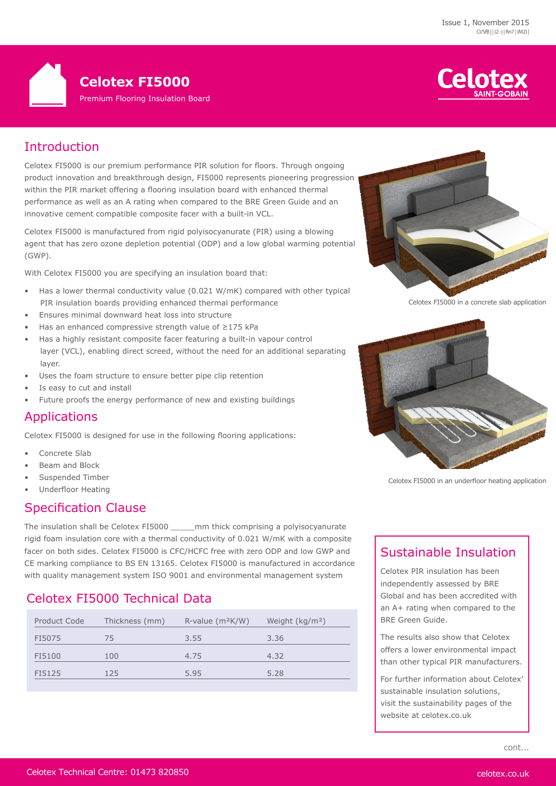



# Introduction

Celotex FI5000 is our premium performance PIR solution for floors. Through ongoing product innovation and breakthrough design, FI5000 represents pioneering progression within the PIR market offering a flooring insulation board with enhanced thermal performance as well as an A rating when compared to the BRE Green Guide and an innovative cement compatible composite facer with a built-in VCL.

Celotex FI5000 is manufactured from rigid polyisocyanurate (PIR) using a blowing agent that has zero ozone depletion potential (ODP) and a low global warming potential (GWP).

With Celotex FI5000 you are specifying an insulation board that:

- Has a lower thermal conductivity value (0.021 W/mK) compared with other typical PIR insulation boards providing enhanced thermal performance
- Ensures minimal downward heat loss into structure
- Has an enhanced compressive strength value of ≥175 kPa
- Has a highly resistant composite facer featuring a built-in vapour control layer (VCL), enabling direct screed, without the need for an additional separating layer.
- Uses the foam structure to ensure better pipe clip retention
- Is easy to cut and install
- Future proofs the energy performance of new and existing buildings

#### Applications

Celotex FI5000 is designed for use in the following flooring applications:

- Concrete Slab
- Beam and Block
- Suspended Timber
- Underfloor Heating

#### Specification Clause

The insulation shall be Celotex FI5000 \_\_\_\_\_mm thick comprising a polyisocyanurate rigid foam insulation core with a thermal conductivity of 0.021 W/mK with a composite facer on both sides. Celotex FI5000 is CFC/HCFC free with zero ODP and low GWP and CE marking compliance to BS EN 13165. Celotex FI5000 is manufactured in accordance with quality management system ISO 9001 and environmental management system

# Celotex FI5000 Technical Data

| Product Code | Thickness (mm) | $R$ -value ( $m$ <sup>2</sup> $K/W$ ) | Weight (kg/m <sup>2</sup> ) |
|--------------|----------------|---------------------------------------|-----------------------------|
| FI5075       | 75             | 3.55                                  | 3.36                        |
| FI5100       | 100            | 4.75                                  | 4.32                        |
| FI5125       | 125            | 5.95                                  | 5.28                        |
|              |                |                                       |                             |



Celotex FI5000 in a concrete slab application



Celotex FI5000 in an underfloor heating application

# Sustainable Insulation

Celotex PIR insulation has been independently assessed by BRE Global and has been accredited with an A+ rating when compared to the BRE Green Guide.

The results also show that Celotex offers a lower environmental impact than other typical PIR manufacturers.

For further information about Celotex' sustainable insulation solutions, visit the sustainability pages of the website at celotex.co.uk